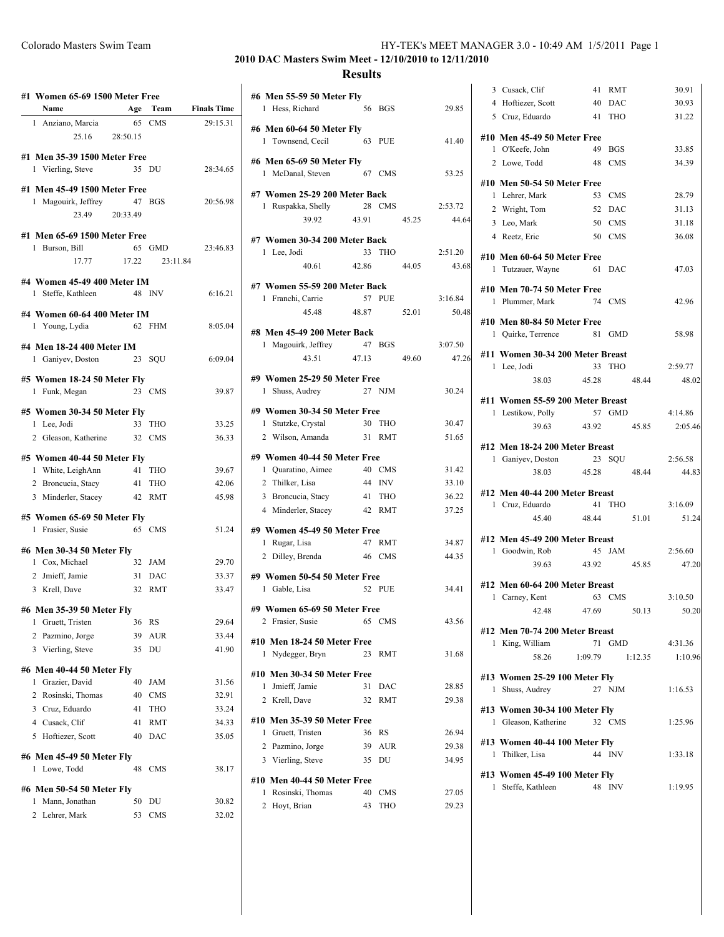| #1 Women 65-69 1500 Meter Free |                 |            |                    |
|--------------------------------|-----------------|------------|--------------------|
| Name                           | Age             | Team       | <b>Finals Time</b> |
| 1 Anziano, Marcia              |                 | 65 CMS     | 29:15.31           |
| 25.16                          | 28:50.15        |            |                    |
| #1 Men 35-39 1500 Meter Free   |                 |            |                    |
| 1 Vierling, Steve              |                 | 35 DU      | 28:34.65           |
| #1 Men 45-49 1500 Meter Free   |                 |            |                    |
| 1 Magouirk, Jeffrey            | 47              | <b>BGS</b> | 20:56.98           |
| 23.49                          | 20:33.49        |            |                    |
| #1 Men 65-69 1500 Meter Free   |                 |            |                    |
| 1 Burson, Bill                 |                 | 65 GMD     | 23:46.83           |
| 17.77                          | 17.22           | 23:11.84   |                    |
| #4 Women 45-49 400 Meter IM    |                 |            |                    |
| 1 Steffe, Kathleen             |                 | 48 INV     | 6:16.21            |
| #4 Women 60-64 400 Meter IM    |                 |            |                    |
| 1 Young, Lydia                 |                 | 62 FHM     | 8:05.04            |
| #4 Men 18-24 400 Meter IM      |                 |            |                    |
| 1 Ganiyev, Doston              | 23              | SQU        | 6:09.04            |
| #5 Women 18-24 50 Meter Fly    |                 |            |                    |
| 1 Funk, Megan                  |                 | 23 CMS     | 39.87              |
| #5 Women 30-34 50 Meter Fly    |                 |            |                    |
| 1 Lee, Jodi                    | 33              | <b>THO</b> | 33.25              |
| 2 Gleason, Katherine           | 32              | <b>CMS</b> | 36.33              |
| #5 Women 40-44 50 Meter Fly    |                 |            |                    |
| 1 White, LeighAnn              | 41              | THO        | 39.67              |
| 2 Broncucia, Stacy             | -41             | THO        | 42.06              |
| 3 Minderler, Stacey 42         |                 | <b>RMT</b> | 45.98              |
| #5 Women 65-69 50 Meter Fly    |                 |            |                    |
| Frasier, Susie<br>1            |                 | 65 CMS     | 51.24              |
| #6 Men 30-34 50 Meter Fly      |                 |            |                    |
| 1 Cox, Michael                 | 32 <sup>2</sup> | JAM        | 29.70              |
| 2 Jmieff, Jamie                | 31              | DAC        | 33.37              |
| 3 Krell, Dave                  | 32              | <b>RMT</b> | 33.47              |
| #6 Men 35-39 50 Meter Fly      |                 |            |                    |
| 1<br>Gruett, Tristen           | 36              | RS         | 29.64              |
| Pazmino, Jorge<br>2            | 39              | AUR        | 33.44              |
| 3<br>Vierling, Steve           | 35              | DU         | 41.90              |
| #6 Men 40-44 50 Meter Fly      |                 |            |                    |
| Grazier, David<br>1            | 40              | JAM        | 31.56              |
| Rosinski, Thomas<br>2          | 40              | CMS        | 32.91              |
|                                |                 |            |                    |
| 3<br>Cruz, Eduardo             | 41              | THO        |                    |
| 4 Cusack, Clif                 | 41              | RMT        | 33.24<br>34.33     |

## **#6 Men 45-49 50 Meter Fly** 1 Lowe, Todd 48 CMS 38.17 **#6 Men 50-54 50 Meter Fly** 1 Mann, Jonathan 50 DU 30.82

|                |        | -------- |
|----------------|--------|----------|
| 2 Lehrer, Mark | 53 CMS | 32.02    |

### **2010 DAC Masters Swim Meet - 12/10/2010 to 12/11/2010 Results**

| #6 Men 55-59 50 Meter Fly<br>1 Hess, Richard 56 BGS   |             |            |       | 29.85   |
|-------------------------------------------------------|-------------|------------|-------|---------|
| #6 Men 60-64 50 Meter Fly<br>1 Townsend, Cecil 63 PUE |             |            |       | 41.40   |
| #6 Men 65-69 50 Meter Fly<br>1 McDanal, Steven        | 67 CMS      |            |       | 53.25   |
| #7 Women 25-29 200 Meter Back                         |             |            |       |         |
| 1 Ruspakka, Shelly                                    |             | 28 CMS     |       | 2:53.72 |
| 39.92                                                 | 43.91       |            | 45.25 | 44.6    |
| #7 Women 30-34 200 Meter Back                         |             |            |       |         |
| 1 Lee, Jodi                                           |             | 33 THO     |       | 2:51.20 |
|                                                       | 40.61 42.86 |            | 44.05 | 43.6    |
| #7 Women 55-59 200 Meter Back                         |             |            |       |         |
| 1 Franchi, Carrie                                     |             | 57 PUE     |       | 3:16.84 |
| 45.48                                                 | 48.87       |            | 52.01 | 50.4    |
| #8 Men 45-49 200 Meter Back                           |             |            |       |         |
| 1 Magouirk, Jeffrey                                   | 47 BGS      |            |       | 3:07.50 |
|                                                       | 43.51 47.13 |            | 49.60 | 47.2    |
| #9 Women 25-29 50 Meter Free                          |             |            |       |         |
| 1 Shuss, Audrey 27 NJM                                |             |            |       | 30.24   |
| #9 Women 30-34 50 Meter Free                          |             |            |       |         |
| 1 Stutzke, Crystal                                    | 30 THO      |            |       | 30.47   |
| 2 Wilson, Amanda                                      |             | 31 RMT     |       | 51.65   |
|                                                       |             |            |       |         |
| #9 Women 40-44 50 Meter Free<br>1 Quaratino, Aimee    |             | 40 CMS     |       | 31.42   |
| 2 Thilker, Lisa                                       |             | 44 INV     |       | 33.10   |
| 3 Broncucia, Stacy                                    |             | 41 THO     |       | 36.22   |
| 4 Minderler, Stacey                                   |             | 42 RMT     |       | 37.25   |
| #9 Women 45-49 50 Meter Free                          |             |            |       |         |
| 1 Rugar, Lisa                                         |             | 47 RMT     |       | 34.87   |
| 2 Dilley, Brenda 46 CMS                               |             |            |       | 44.35   |
|                                                       |             |            |       |         |
| #9 Women 50-54 50 Meter Free<br>1 Gable, Lisa         |             | 52 PUE     |       | 34.41   |
|                                                       |             |            |       |         |
| #9 Women 65-69 50 Meter Free                          |             | 65 CMS     |       | 43.56   |
| 2 Frasier, Susie                                      |             |            |       |         |
| #10 Men 18-24 50 Meter Free                           |             |            |       |         |
| Nydegger, Bryn<br>1                                   | 23          | RMT        |       | 31.68   |
| #10 Men 30-34 50 Meter Free                           |             |            |       |         |
| Jmieff, Jamie<br>1                                    | 31          | DAC        |       | 28.85   |
| Krell, Dave<br>2                                      | 32          | RMT        |       | 29.38   |
| #10 Men 35-39 50 Meter Free                           |             |            |       |         |
| Gruett, Tristen                                       | 36          | RS         |       | 26.94   |
| 2 Pazmino, Jorge                                      | 39          | AUR        |       | 29.38   |
| 3 Vierling, Steve                                     | 35          | DU         |       | 34.95   |
|                                                       |             |            |       |         |
| #10 Men 40-44 50 Meter Free<br>Rosinski, Thomas<br>1  | 40          | CMS        |       | 27.05   |
| $\mathbf{2}$<br>Hoyt, Brian                           | 43          | <b>THO</b> |       | 29.23   |
|                                                       |             |            |       |         |

|       | 3 Cusack, Clif                                    | 41      | RMT        | 30.91   |
|-------|---------------------------------------------------|---------|------------|---------|
| 29.85 | 4 Hoftiezer, Scott                                | 40      | DAC        | 30.93   |
|       | 5 Cruz, Eduardo                                   | 41      | <b>THO</b> | 31.22   |
|       |                                                   |         |            |         |
| 41.40 | #10 Men 45-49 50 Meter Free<br>1 O'Keefe, John    | 49      | <b>BGS</b> | 33.85   |
|       |                                                   |         | 48 CMS     | 34.39   |
| 53.25 | 2 Lowe, Todd                                      |         |            |         |
|       | #10 Men 50-54 50 Meter Free                       |         |            |         |
|       | 1 Lehrer, Mark                                    | 53      | <b>CMS</b> | 28.79   |
| 53.72 | 2 Wright, Tom                                     | 52      | DAC        | 31.13   |
| 44.64 | 3 Leo, Mark                                       | 50      | <b>CMS</b> | 31.18   |
|       | 4 Reetz, Eric                                     | 50      | <b>CMS</b> | 36.08   |
| 51.20 | #10 Men 60-64 50 Meter Free                       |         |            |         |
| 43.68 | 1 Tutzauer, Wayne                                 | 61      | <b>DAC</b> | 47.03   |
|       |                                                   |         |            |         |
| 16.84 | #10 Men 70-74 50 Meter Free                       |         |            |         |
| 50.48 | 1 Plummer, Mark                                   |         | 74 CMS     | 42.96   |
|       | #10 Men 80-84 50 Meter Free                       |         |            |         |
|       | 1 Quirke, Terrence                                |         | 81 GMD     | 58.98   |
| 07.50 |                                                   |         |            |         |
| 47.26 | #11 Women 30-34 200 Meter Breast<br>1 Lee, Jodi   |         | 33 THO     | 2:59.77 |
|       | 38.03                                             | 45.28   | 48.44      | 48.02   |
| 30.24 |                                                   |         |            |         |
|       | #11 Women 55-59 200 Meter Breast                  |         |            |         |
|       | 1 Lestikow, Polly                                 |         | 57 GMD     | 4:14.86 |
| 30.47 | 39.63                                             | 43.92   | 45.85      | 2:05.46 |
| 51.65 | #12 Men 18-24 200 Meter Breast                    |         |            |         |
|       | 1 Ganiyev, Doston                                 |         | 23 SQU     | 2:56.58 |
| 31.42 | 38.03                                             | 45.28   | 48.44      | 44.83   |
| 33.10 |                                                   |         |            |         |
| 36.22 | #12 Men 40-44 200 Meter Breast<br>1 Cruz, Eduardo |         | 41 THO     | 3:16.09 |
| 37.25 | 45.40                                             | 48.44   | 51.01      | 51.24   |
|       |                                                   |         |            |         |
| 34.87 | #12 Men 45-49 200 Meter Breast                    |         |            |         |
| 44.35 | 1 Goodwin, Rob                                    |         | 45 JAM     | 2:56.60 |
|       | 39.63                                             | 43.92   | 45.85      | 47.20   |
| 34.41 | #12 Men 60-64 200 Meter Breast                    |         |            |         |
|       | 1 Carney, Kent                                    |         | 63 CMS     | 3:10.50 |
|       | 42.48 47.69                                       |         | 50.13      | 50.20   |
| 43.56 |                                                   |         |            |         |
|       | #12 Men 70-74 200 Meter Breast<br>1 King, William | 71      | GMD        | 4:31.36 |
| 31.68 | 58.26                                             | 1:09.79 | 1:12.35    | 1:10.96 |
|       |                                                   |         |            |         |
|       | #13 Women 25-29 100 Meter Fly                     |         |            |         |
| 28.85 | 1 Shuss, Audrey                                   |         | 27 NJM     | 1:16.53 |
| 29.38 | #13 Women 30-34 100 Meter Fly                     |         |            |         |
|       | 1 Gleason, Katherine                              |         | 32 CMS     | 1:25.96 |
| 26.94 |                                                   |         |            |         |
| 29.38 | #13 Women 40-44 100 Meter Fly                     |         |            |         |
| 34.95 | 1 Thilker, Lisa                                   |         | 44 INV     | 1:33.18 |
|       | #13 Women 45-49 100 Meter Fly                     |         |            |         |
| 27.05 | 1 Steffe, Kathleen                                |         | 48 INV     | 1:19.95 |
|       |                                                   |         |            |         |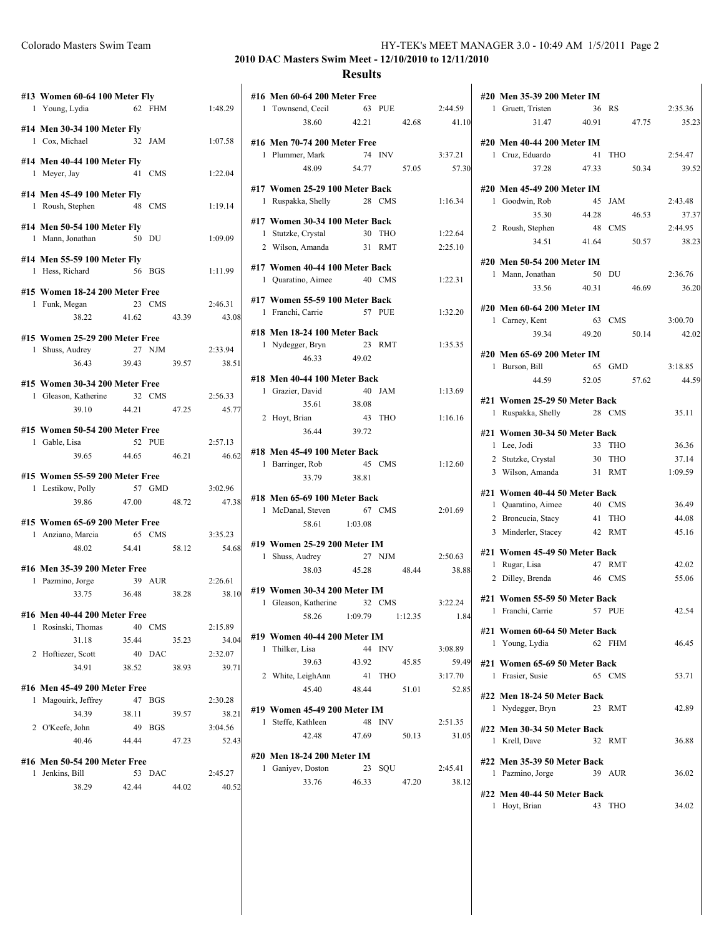| Colorado Masters Swim Team | HY-TEK's MEET MANAGER 3.0 - 10:49 AM 1/5/2011 Page 2 |  |
|----------------------------|------------------------------------------------------|--|
|----------------------------|------------------------------------------------------|--|

# **2010 DAC Masters Swim Meet - 12/10/2010 to 12/11/2010 Results**

|   | #13 Women 60-64 100 Meter Fly<br>1 Young, Lydia               | 62     | <b>FHM</b> |       | 1:48.29 |
|---|---------------------------------------------------------------|--------|------------|-------|---------|
|   |                                                               |        |            |       |         |
|   | #14 Men 30-34 100 Meter Fly<br>1 Cox, Michael                 |        | $32$ JAM   |       | 1:07.58 |
|   | #14 Men 40-44 100 Meter Fly                                   |        |            |       |         |
|   | 1 Meyer, Jay                                                  |        | 41 CMS     |       | 1:22.04 |
|   | #14 Men 45-49 100 Meter Fly                                   |        |            |       |         |
|   | 1 Roush, Stephen                                              | 48 CMS |            |       | 1:19.14 |
|   | #14 Men 50-54 100 Meter Fly                                   |        |            |       |         |
|   | 1 Mann, Jonathan                                              | 50 DU  |            |       | 1:09.09 |
|   |                                                               |        |            |       |         |
|   | #14 Men 55-59 100 Meter Fly<br>1 Hess, Richard                |        | 56 BGS     |       | 1:11.99 |
|   |                                                               |        |            |       |         |
|   | #15 Women 18-24 200 Meter Free                                |        |            |       |         |
|   | 1 Funk, Megan                                                 | 23 CMS |            |       | 2:46.31 |
|   | 38.22                                                         | 41.62  |            | 43.39 | 43.0    |
|   | #15 Women 25-29 200 Meter Free                                |        |            |       |         |
|   | 1 Shuss, Audrey                                               |        | 27 NJM     |       | 2:33.94 |
|   | 36.43                                                         | 39.43  |            | 39.57 | 38.5    |
|   |                                                               |        |            |       |         |
|   | #15 Women 30-34 200 Meter Free<br>1 Gleason, Katherine 32 CMS |        |            |       | 2:56.33 |
|   | 39.10 44.21 47.25                                             |        |            |       | 45.7    |
|   |                                                               |        |            |       |         |
|   | #15 Women 50-54 200 Meter Free                                |        |            |       |         |
|   | 1 Gable, Lisa                                                 |        | 52 PUE     |       | 2:57.13 |
|   | 39.65                                                         | 44.65  |            | 46.21 | 46.6    |
|   | #15 Women 55-59 200 Meter Free                                |        |            |       |         |
|   | 1 Lestikow, Polly                                             | 57 GMD |            |       | 3:02.96 |
|   | 39.86 47.00                                                   |        |            | 48.72 | 47.3    |
|   | #15 Women 65-69 200 Meter Free                                |        |            |       |         |
|   | 1 Anziano, Marcia                                             |        | 65 CMS     |       | 3:35.23 |
|   | 48.02                                                         | 54.41  |            | 58.12 | 54.6    |
|   |                                                               |        |            |       |         |
|   | #16 Men 35-39 200 Meter Free                                  |        |            |       |         |
|   | 1 Pazmino, Jorge                                              | 39 AUR |            |       | 2:26.61 |
|   | 33.75 36.48                                                   |        |            | 38.28 | 38.1    |
|   | #16 Men 40-44 200 Meter Free                                  |        |            |       |         |
| 1 | Rosinski, Thomas                                              | 40     | <b>CMS</b> |       | 2:15.89 |
|   | 31.18                                                         | 35.44  |            | 35.23 | 34.0    |
| 2 | Hoftiezer, Scott                                              | 40     | DAC        |       | 2:32.07 |
|   | 34.91                                                         | 38.52  |            | 38.93 | 39.7    |
|   | #16 Men 45-49 200 Meter Free                                  |        |            |       |         |
|   | 1 Magouirk, Jeffrey                                           | 47     | <b>BGS</b> |       | 2:30.28 |
|   | 34.39                                                         | 38.11  |            | 39.57 | 38.2    |
| 2 | O'Keefe, John                                                 | 49     | <b>BGS</b> |       | 3:04.56 |
|   | 40.46                                                         | 44.44  |            | 47.23 | 52.4    |
|   |                                                               |        |            |       |         |
|   | #16 Men 50-54 200 Meter Free                                  |        |            |       |         |
|   | 1 Jenkins, Bill                                               | 53     | DAC        |       | 2:45.27 |
|   | 38.29                                                         | 42.44  |            | 44.02 | 40.5    |

43.08

38.51

45.77

46.62

47.38

54.68

38.10

34.04

39.71

38.21

 $52.43$ 

40.52

|   | #16 Men 60-64 200 Meter Free                     |                 |            |         |         |
|---|--------------------------------------------------|-----------------|------------|---------|---------|
|   | 1 Townsend, Cecil                                |                 | 63 PUE     |         | 2:44.59 |
|   | 38.60 42.21 42.68                                |                 |            |         | 41.10   |
|   | #16 Men 70-74 200 Meter Free                     |                 |            |         |         |
|   | 1 Plummer, Mark                                  |                 | 74 INV     |         | 3:37.21 |
|   | 48.09                                            | 54.77           |            | 57.05   | 57.30   |
|   | #17 Women 25-29 100 Meter Back                   |                 |            |         |         |
|   | 1 Ruspakka, Shelly                               | 28 CMS          |            |         | 1:16.34 |
|   | #17 Women 30-34 100 Meter Back                   |                 |            |         |         |
|   | 1 Stutzke, Crystal                               |                 | 30 THO     |         | 1:22.64 |
|   | 2 Wilson, Amanda                                 |                 | 31 RMT     |         | 2:25.10 |
|   | #17 Women 40-44 100 Meter Back                   |                 |            |         |         |
|   | 1 Quaratino, Aimee                               |                 | 40 CMS     |         | 1:22.31 |
|   | #17 Women 55-59 100 Meter Back                   |                 |            |         |         |
|   | 1 Franchi, Carrie 57 PUE                         |                 |            |         | 1:32.20 |
|   | #18 Men 18-24 100 Meter Back                     |                 |            |         |         |
|   | 1 Nydegger, Bryn                                 | 23 RMT          |            |         | 1:35.35 |
|   | 46.33                                            | 49.02           |            |         |         |
|   | #18 Men 40-44 100 Meter Back                     |                 |            |         |         |
|   | 1 Grazier, David                                 |                 | 40 JAM     |         | 1:13.69 |
|   | 35.61 38.08                                      |                 |            |         |         |
|   | 2 Hoyt, Brian<br>36.44                           | 43 THO<br>39.72 |            |         | 1:16.16 |
|   |                                                  |                 |            |         |         |
|   | #18 Men 45-49 100 Meter Back<br>1 Barringer, Rob | 45 CMS          |            |         | 1:12.60 |
|   | 33.79 38.81                                      |                 |            |         |         |
|   | #18 Men 65-69 100 Meter Back                     |                 |            |         |         |
|   | 1 McDanal, Steven 67 CMS                         |                 |            |         | 2:01.69 |
|   | 58.61 1:03.08                                    |                 |            |         |         |
|   | #19 Women 25-29 200 Meter IM                     |                 |            |         |         |
|   | 1 Shuss, Audrey                                  |                 | 27 NJM     |         | 2:50.63 |
|   | 38.03 45.28                                      |                 |            | 48.44   | 38.88   |
|   | #19 Women 30-34 200 Meter IM                     |                 |            |         |         |
|   | 1 Gleason, Katherine                             |                 | 32 CMS     |         | 3:22.24 |
|   | 58.26 1:09.79                                    |                 |            | 1:12.35 | 1.84    |
|   | #19 Women 40-44 200 Meter IM                     |                 |            |         |         |
| 1 | Thilker, Lisa                                    |                 | 44 INV     |         | 3:08.89 |
|   | 39.63                                            | 43.92           |            | 45.85   | 59.49   |
|   | 2 White, LeighAnn                                |                 | 41 THO     |         | 3:17.70 |
|   | 45.40                                            | 48.44           |            | 51.01   | 52.85   |
|   | #19 Women 45-49 200 Meter IM                     |                 |            |         |         |
|   | 1 Steffe, Kathleen                               | 48              | <b>INV</b> |         | 2:51.35 |
|   | 42.48                                            | 47.69           |            | 50.13   | 31.05   |
|   | #20 Men 18-24 200 Meter IM                       |                 |            |         |         |
|   | 1 Ganiyev, Doston                                |                 | 23 SQU     |         | 2:45.41 |
|   | 33.76                                            | 46.33           |            | 47.20   | 38.12   |

|          | #20 Men 35-39 200 Meter IM    |    |            |       |         |
|----------|-------------------------------|----|------------|-------|---------|
|          | 1 Gruett, Tristen             |    | 36 RS      |       | 2:35.36 |
| $\bf{0}$ | 31.47<br>40.91                |    |            | 47.75 | 35.23   |
|          | #20 Men 40-44 200 Meter IM    |    |            |       |         |
|          | 1 Cruz, Eduardo               |    | 41 THO     |       | 2:54.47 |
|          | 37.28<br>47.33                |    |            | 50.34 | 39.52   |
|          |                               |    |            |       |         |
|          | #20 Men 45-49 200 Meter IM    |    |            |       |         |
|          | 1 Goodwin, Rob                | 45 | JAM        |       | 2:43.48 |
|          | 35.30<br>44.28                |    |            | 46.53 | 37.37   |
|          | 2 Roush, Stephen              |    | 48 CMS     |       | 2:44.95 |
|          | 34.51<br>41.64                |    |            | 50.57 | 38.23   |
|          | #20 Men 50-54 200 Meter IM    |    |            |       |         |
|          | 1 Mann, Jonathan              |    | 50 DU      |       | 2:36.76 |
|          | 33.56<br>40.31                |    |            | 46.69 | 36.20   |
|          |                               |    |            |       |         |
|          | #20 Men 60-64 200 Meter IM    |    |            |       |         |
|          | 1 Carney, Kent                |    | 63 CMS     |       | 3:00.70 |
|          | 49.20<br>39.34                |    |            | 50.14 | 42.02   |
|          | #20 Men 65-69 200 Meter IM    |    |            |       |         |
|          | 1 Burson, Bill                |    | 65 GMD     |       | 3:18.85 |
|          | 44.59<br>52.05                |    |            | 57.62 | 44.59   |
|          |                               |    |            |       |         |
|          | #21 Women 25-29 50 Meter Back |    |            |       |         |
|          | 1 Ruspakka, Shelly            |    | 28 CMS     |       | 35.11   |
|          | #21 Women 30-34 50 Meter Back |    |            |       |         |
|          | 1 Lee, Jodi                   | 33 | <b>THO</b> |       | 36.36   |
|          | 2 Stutzke, Crystal 30 THO     |    |            |       | 37.14   |
|          | 3 Wilson, Amanda 31 RMT       |    |            |       | 1:09.59 |
|          | #21 Women 40-44 50 Meter Back |    |            |       |         |
|          | 1 Quaratino, Aimee            |    | 40 CMS     |       | 36.49   |
|          | 2 Broncucia, Stacy            |    | 41 THO     |       | 44.08   |
|          | 3 Minderler, Stacey           |    | 42 RMT     |       | 45.16   |
|          |                               |    |            |       |         |
|          | #21 Women 45-49 50 Meter Back |    |            |       |         |
|          | 1 Rugar, Lisa                 |    | 47 RMT     |       | 42.02   |
|          | 2 Dilley, Brenda 46 CMS       |    |            |       | 55.06   |
|          | #21 Women 55-59 50 Meter Back |    |            |       |         |
|          | 57 PUE<br>1 Franchi, Carrie   |    |            |       | 42.54   |
|          |                               |    |            |       |         |
|          | #21 Women 60-64 50 Meter Back |    |            |       |         |
|          | 1 Young, Lydia                | 62 | FHM        |       | 46.45   |
|          | #21 Women 65-69 50 Meter Back |    |            |       |         |
| 1.       | Frasier, Susie                |    | 65 CMS     |       | 53.71   |
|          |                               |    |            |       |         |
|          | #22 Men 18-24 50 Meter Back   |    |            |       |         |
|          | 1 Nydegger, Bryn              | 23 | RMT        |       | 42.89   |
|          | #22 Men 30-34 50 Meter Back   |    |            |       |         |
|          | 1 Krell, Dave                 | 32 | <b>RMT</b> |       | 36.88   |
|          |                               |    |            |       |         |
|          | #22 Men 35-39 50 Meter Back   |    |            |       |         |
|          | 1 Pazmino, Jorge              |    | 39 AUR     |       | 36.02   |
|          | #22 Men 40-44 50 Meter Back   |    |            |       |         |
|          | 1 Hoyt, Brian                 | 43 | THO        |       | 34.02   |
|          |                               |    |            |       |         |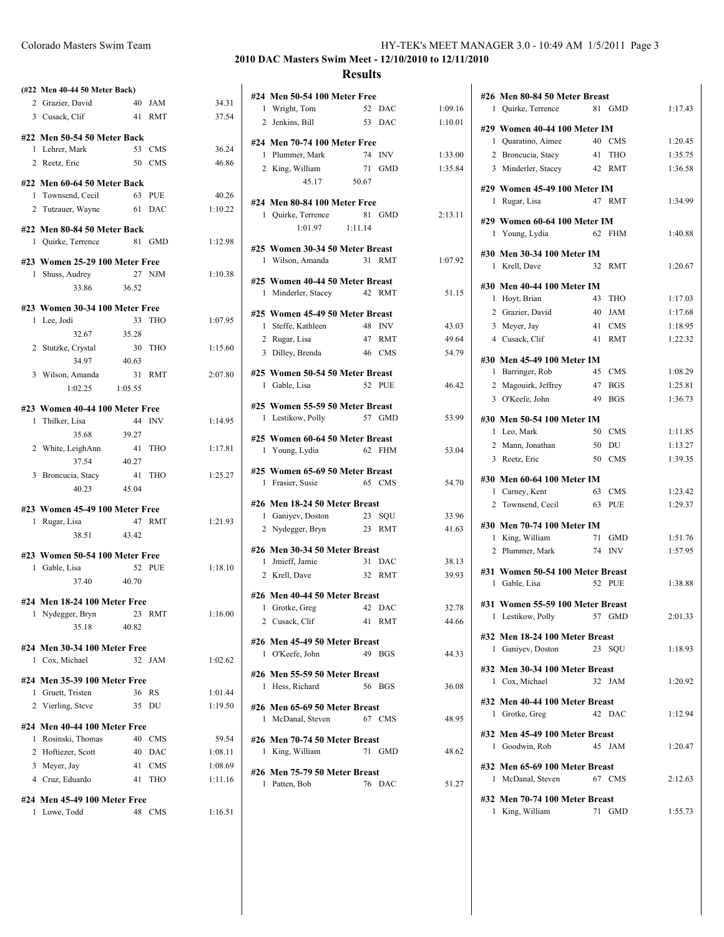|   | (#22 Men 40-44 50 Meter Back)                     |             |            |         |
|---|---------------------------------------------------|-------------|------------|---------|
|   | 2 Grazier, David                                  | 40 JAM      |            | 34.31   |
|   | 3 Cusack, Clif                                    |             | 41 RMT     | 37.54   |
|   | #22 Men 50-54 50 Meter Back                       |             |            |         |
|   | 1 Lehrer, Mark                                    |             | 53 CMS     | 36.24   |
|   | 2 Reetz, Eric                                     |             | 50 CMS     | 46.86   |
|   | #22 Men 60-64 50 Meter Back                       |             |            |         |
|   | 1 Townsend, Cecil                                 |             | 63 PUE     | 40.26   |
|   | 2 Tutzauer, Wayne                                 |             | 61 DAC     | 1:10.22 |
|   |                                                   |             |            |         |
|   | #22 Men 80-84 50 Meter Back<br>1 Ouirke, Terrence |             | 81 GMD     | 1:12.98 |
|   |                                                   |             |            |         |
|   | #23 Women 25-29 100 Meter Free                    |             |            |         |
|   | 1 Shuss, Audrey                                   |             | 27 NJM     | 1:10.38 |
|   | 33.86                                             | 36.52       |            |         |
|   | #23 Women 30-34 100 Meter Free                    |             |            |         |
|   | 1 Lee, Jodi                                       |             | 33 THO     | 1:07.95 |
|   | 32.67                                             | 35.28       |            |         |
|   | 2 Stutzke, Crystal                                |             | 30 THO     | 1:15.60 |
|   | 34.97                                             | 40.63       |            |         |
|   | 3 Wilson, Amanda                                  |             | 31 RMT     | 2:07.80 |
|   | $1:02.25$ $1:05.55$                               |             |            |         |
|   | #23 Women 40-44 100 Meter Free                    |             |            |         |
| 1 | Thilker, Lisa                                     |             | 44 INV     | 1:14.95 |
|   | 35.68                                             | 39.27       |            |         |
|   | 2 White, LeighAnn                                 |             | 41 THO     | 1:17.81 |
|   | 37.54                                             | 40.27<br>41 | THO        | 1:25.27 |
|   | 3 Broncucia, Stacy<br>40.23                       | 45.04       |            |         |
|   |                                                   |             |            |         |
|   | #23 Women 45-49 100 Meter Free                    |             |            |         |
|   | 1 Rugar, Lisa                                     |             | 47 RMT     | 1:21.93 |
|   | 38.51                                             | 43.42       |            |         |
|   | #23 Women 50-54 100 Meter Free                    |             |            |         |
|   | 1 Gable, Lisa                                     |             | 52 PUE     | 1:18.10 |
|   | 37.40 40.70                                       |             |            |         |
|   | #24 Men 18-24 100 Meter Free                      |             |            |         |
| 1 | Nydegger, Bryn                                    | 23          | RMT        | 1:16.00 |
|   | 35.18                                             | 40.82       |            |         |
|   | #24 Men 30-34 100 Meter Free                      |             |            |         |
|   | 1 Cox, Michael                                    |             | 32 JAM     | 1:02.62 |
|   | #24 Men 35-39 100 Meter Free                      |             |            |         |
|   | 1 Gruett, Tristen                                 | 36          | RS         | 1:01.44 |
|   | 2 Vierling, Steve                                 | 35          | DU         | 1:19.50 |
|   |                                                   |             |            |         |
| 1 | #24 Men 40-44 100 Meter Free<br>Rosinski, Thomas  | 40          | CMS        | 59.54   |
|   | 2 Hoftiezer, Scott                                | 40          | DAC        | 1:08.11 |
|   | 3 Meyer, Jay                                      | 41          | <b>CMS</b> | 1:08.69 |
|   | 4 Cruz, Eduardo                                   | 41          | THO        | 1:11.16 |
|   |                                                   |             |            |         |

# **#24 Men 45-49 100 Meter Free**

1 Lowe, Todd 48 CMS 1:16.51

 $\mathbf{I}$ 

### **2010 DAC Masters Swim Meet - 12/10/2010 to 12/11/2010 Results**

 $40.26$  $1:10.22$ 

 $1:15.60$ 

 $2:07.80$ 

 $1:18.10$ 

 $1:16.00$ 

 $1:01.44$  $1:19.50$ 

59.54  $1:08.11$  $1:08.69$  $1:11.16$ 

|                          | #24 Men 50-54 100 Meter Free    |                 |            |         |
|--------------------------|---------------------------------|-----------------|------------|---------|
|                          | 1 Wright, Tom                   | 52 DAC          |            | 1:09.16 |
|                          | 2 Jenkins, Bill                 | 53 DAC          |            | 1:10.01 |
|                          | #24 Men 70-74 100 Meter Free    |                 |            |         |
| 5                        | 1 Plummer, Mark                 | 74 INV          |            | 1:33.00 |
|                          | 2 King, William                 | 71 GMD          |            | 1:35.84 |
| 5                        | 45.17                           | 50.67           |            |         |
|                          | #24 Men 80-84 100 Meter Free    |                 |            |         |
|                          | 1 Quirke, Terrence              | 81 GMD          |            | 2:13.11 |
| ì                        | 1:01.97                         | 1:11.14         |            |         |
|                          | #25 Women 30-34 50 Meter Breast |                 |            |         |
|                          | 1 Wilson, Amanda                | 31 RMT          |            | 1:07.92 |
| ì                        | #25 Women 40-44 50 Meter Breast |                 |            |         |
|                          | 1 Minderler, Stacey 42 RMT      |                 |            | 51.15   |
|                          | #25 Women 45-49 50 Meter Breast |                 |            |         |
|                          | 1 Steffe, Kathleen              | 48 INV          |            | 43.03   |
| )                        | 2 Rugar, Lisa                   | 47 RMT          |            | 49.64   |
|                          | 3 Dilley, Brenda                | 46 CMS          |            | 54.79   |
| )                        | #25 Women 50-54 50 Meter Breast |                 |            |         |
|                          | 1 Gable, Lisa                   | 52 PUE          |            | 46.42   |
|                          | #25 Women 55-59 50 Meter Breast |                 |            |         |
| $\overline{\phantom{a}}$ | 1 Lestikow, Polly               | 57 GMD          |            | 53.99   |
|                          | #25 Women 60-64 50 Meter Breast |                 |            |         |
| l,                       | 1 Young, Lydia                  | 62 FHM          |            | 53.04   |
| 7                        | #25 Women 65-69 50 Meter Breast |                 |            |         |
|                          | 1 Frasier, Susie                | 65 CMS          |            | 54.70   |
|                          | #26 Men 18-24 50 Meter Breast   |                 |            |         |
|                          | 1 Ganiyev, Doston               | 23 SQU          |            | 33.96   |
|                          | 2 Nydegger, Bryn                | 23 RMT          |            | 41.63   |
|                          | #26 Men 30-34 50 Meter Breast   |                 |            |         |
| )                        | 1 Jmieff, Jamie                 | 31 DAC          |            | 38.13   |
|                          | 2 Krell, Dave                   | 32 <sup>2</sup> | <b>RMT</b> | 39.93   |
|                          | #26 Men 40-44 50 Meter Breast   |                 |            |         |
| )                        | 1 Grotke, Greg 42 DAC           |                 |            | 32.78   |
|                          | 2 Cusack, Clif                  | 41 RMT          |            | 44.66   |
|                          | #26 Men 45-49 50 Meter Breast   |                 |            |         |
| ֦֧ׅ֚֡֝                   | 1 O'Keefe, John                 | 49 BGS          |            | 44.33   |
|                          | #26 Men 55-59 50 Meter Breast   |                 |            |         |
|                          | 1 Hess, Richard                 | 56 BGS          |            | 36.08   |
| )                        | #26 Men 65-69 50 Meter Breast   |                 |            |         |
|                          | 1 McDanal, Steven               | 67 CMS          |            | 48.95   |
| Į                        | #26 Men 70-74 50 Meter Breast   |                 |            |         |
|                          | 1 King, William                 | 71 GMD          |            | 48.62   |
| )                        | #26 Men 75-79 50 Meter Breast   |                 |            |         |
| ,                        | 1 Patten, Bob                   | 76              | DAC        | 51.27   |
|                          |                                 |                 |            |         |

| #26 Men 80-84 50 Meter Breast    |                  |         |
|----------------------------------|------------------|---------|
| 1 Quirke, Terrence               | 81 GMD           | 1:17.43 |
|                                  |                  |         |
| #29 Women 40-44 100 Meter IM     |                  |         |
| 1 Quaratino, Aimee               | 40 CMS           | 1:20.45 |
| 2 Broncucia, Stacy               | 41<br><b>THO</b> | 1:35.75 |
| 3 Minderler, Stacey              | 42 RMT           | 1:36.58 |
| #29 Women 45-49 100 Meter IM     |                  |         |
| 1 Rugar, Lisa                    | 47 RMT           | 1:34.99 |
|                                  |                  |         |
| #29 Women 60-64 100 Meter IM     |                  |         |
| 1 Young, Lydia                   | 62 FHM           | 1:40.88 |
|                                  |                  |         |
| #30 Men 30-34 100 Meter IM       |                  |         |
| 1 Krell, Dave                    | 32<br>RMT        | 1:20.67 |
| #30 Men 40-44 100 Meter IM       |                  |         |
| Hoyt, Brian<br>$\mathbf{1}$      | 43<br><b>THO</b> | 1:17.03 |
| 2 Grazier, David                 | <b>JAM</b><br>40 | 1:17.68 |
|                                  | 41               |         |
| 3 Meyer, Jay                     | <b>CMS</b>       | 1:18.95 |
| 4 Cusack, Clif                   | 41<br><b>RMT</b> | 1:22.32 |
| #30 Men 45-49 100 Meter IM       |                  |         |
| 1 Barringer, Rob                 | 45<br>CMS        | 1:08.29 |
| 2 Magouirk, Jeffrey              | 47<br>BGS        | 1:25.81 |
| 3 O'Keefe, John                  | 49<br><b>BGS</b> | 1:36.73 |
|                                  |                  |         |
| #30 Men 50-54 100 Meter IM       |                  |         |
| 1 Leo, Mark                      | 50<br><b>CMS</b> | 1:11.85 |
| 2 Mann, Jonathan                 | 50<br>DU         | 1:13.27 |
| 3 Reetz, Eric                    | 50<br><b>CMS</b> | 1:39.35 |
|                                  |                  |         |
| #30 Men 60-64 100 Meter IM       |                  |         |
| 1 Carney, Kent                   | 63<br><b>CMS</b> | 1:23.42 |
| 2 Townsend, Cecil                | 63<br><b>PUE</b> | 1:29.37 |
|                                  |                  |         |
| #30 Men 70-74 100 Meter IM       |                  |         |
| 1 King, William                  | 71<br><b>GMD</b> | 1:51.76 |
| 2 Plummer, Mark                  | 74<br><b>INV</b> | 1:57.95 |
| #31 Women 50-54 100 Meter Breast |                  |         |
| 1 Gable, Lisa                    | 52 PUE           | 1:38.88 |
|                                  |                  |         |
| #31 Women 55-59 100 Meter Breast |                  |         |
| 1 Lestikow, Polly                | 57 GMD           | 2:01.33 |
| #32 Men 18-24 100 Meter Breast   |                  |         |
| 1 Ganiyev, Doston                | 23 SOU           |         |
|                                  |                  | 1:18.93 |
| #32 Men 30-34 100 Meter Breast   |                  |         |
| 1 Cox, Michael                   | 32<br><b>JAM</b> | 1:20.92 |
|                                  |                  |         |
| #32 Men 40-44 100 Meter Breast   |                  |         |
| 1 Grotke, Greg                   | 42 DAC           | 1:12.94 |
| #32 Men 45-49 100 Meter Breast   |                  |         |
| 1 Goodwin, Rob                   | 45 JAM           | 1:20.47 |
|                                  |                  |         |
| #32 Men 65-69 100 Meter Breast   |                  |         |
| 1 McDanal, Steven                | 67 CMS           | 2:12.63 |
|                                  |                  |         |
| #32 Men 70-74 100 Meter Breast   |                  |         |
| King, William<br>1               | 71<br>GMD        | 1:55.73 |